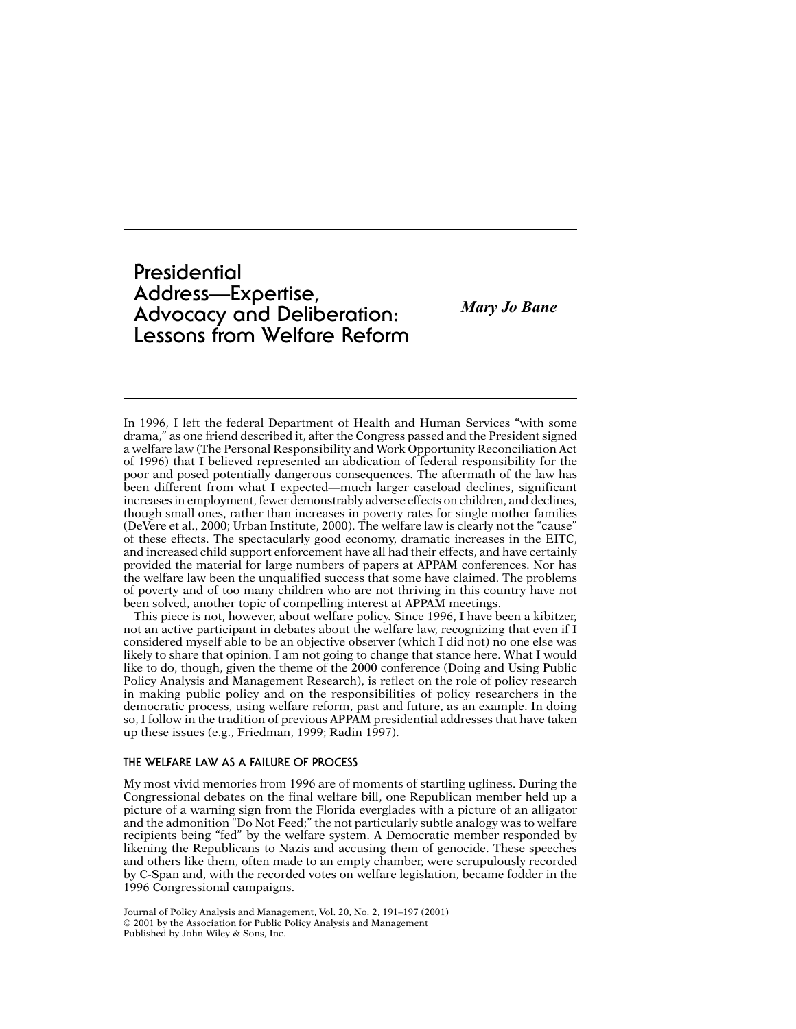**Presidential Address—Expertise, Advocacy and Deliberation: Lessons from Welfare Reform**

*Mary Jo Bane*

In 1996, I left the federal Department of Health and Human Services "with some drama," as one friend described it, after the Congress passed and the President signed a welfare law (The Personal Responsibility and Work Opportunity Reconciliation Act of 1996) that I believed represented an abdication of federal responsibility for the poor and posed potentially dangerous consequences. The aftermath of the law has been different from what I expected—much larger caseload declines, significant increases in employment, fewer demonstrably adverse effects on children, and declines, though small ones, rather than increases in poverty rates for single mother families (DeVere et al., 2000; Urban Institute, 2000). The welfare law is clearly not the "cause" of these effects. The spectacularly good economy, dramatic increases in the EITC, and increased child support enforcement have all had their effects, and have certainly provided the material for large numbers of papers at APPAM conferences. Nor has the welfare law been the unqualified success that some have claimed. The problems of poverty and of too many children who are not thriving in this country have not been solved, another topic of compelling interest at APPAM meetings.

This piece is not, however, about welfare policy. Since 1996, I have been a kibitzer, not an active participant in debates about the welfare law, recognizing that even if I considered myself able to be an objective observer (which I did not) no one else was likely to share that opinion. I am not going to change that stance here. What I would like to do, though, given the theme of the 2000 conference (Doing and Using Public Policy Analysis and Management Research), is reflect on the role of policy research in making public policy and on the responsibilities of policy researchers in the democratic process, using welfare reform, past and future, as an example. In doing so, I follow in the tradition of previous APPAM presidential addresses that have taken up these issues (e.g., Friedman, 1999; Radin 1997).

## **THE WELFARE LAW AS A FAILURE OF PROCESS**

My most vivid memories from 1996 are of moments of startling ugliness. During the Congressional debates on the final welfare bill, one Republican member held up a picture of a warning sign from the Florida everglades with a picture of an alligator and the admonition "Do Not Feed;" the not particularly subtle analogy was to welfare recipients being "fed" by the welfare system. A Democratic member responded by likening the Republicans to Nazis and accusing them of genocide. These speeches and others like them, often made to an empty chamber, were scrupulously recorded by C-Span and, with the recorded votes on welfare legislation, became fodder in the 1996 Congressional campaigns.

Journal of Policy Analysis and Management, Vol. 20, No. 2, 191–197 (2001) © 2001 by the Association for Public Policy Analysis and Management Published by John Wiley & Sons, Inc.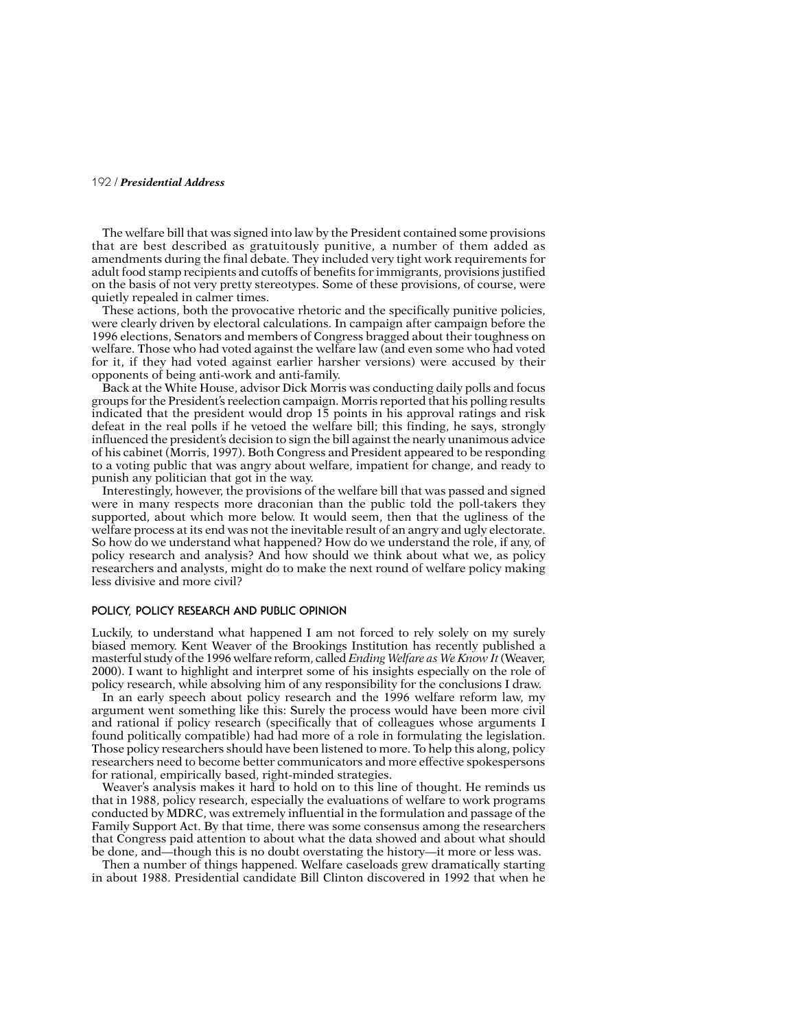# 192 / *Presidential Address*

The welfare bill that was signed into law by the President contained some provisions that are best described as gratuitously punitive, a number of them added as amendments during the final debate. They included very tight work requirements for adult food stamp recipients and cutoffs of benefits for immigrants, provisions justified on the basis of not very pretty stereotypes. Some of these provisions, of course, were quietly repealed in calmer times.

These actions, both the provocative rhetoric and the specifically punitive policies, were clearly driven by electoral calculations. In campaign after campaign before the 1996 elections, Senators and members of Congress bragged about their toughness on welfare. Those who had voted against the welfare law (and even some who had voted for it, if they had voted against earlier harsher versions) were accused by their opponents of being anti-work and anti-family.

Back at the White House, advisor Dick Morris was conducting daily polls and focus groups for the President's reelection campaign. Morris reported that his polling results indicated that the president would drop 15 points in his approval ratings and risk defeat in the real polls if he vetoed the welfare bill; this finding, he says, strongly influenced the president's decision to sign the bill against the nearly unanimous advice of his cabinet (Morris, 1997). Both Congress and President appeared to be responding to a voting public that was angry about welfare, impatient for change, and ready to punish any politician that got in the way.

Interestingly, however, the provisions of the welfare bill that was passed and signed were in many respects more draconian than the public told the poll-takers they supported, about which more below. It would seem, then that the ugliness of the welfare process at its end was not the inevitable result of an angry and ugly electorate. So how do we understand what happened? How do we understand the role, if any, of policy research and analysis? And how should we think about what we, as policy researchers and analysts, might do to make the next round of welfare policy making less divisive and more civil?

#### **POLICY, POLICY RESEARCH AND PUBLIC OPINION**

Luckily, to understand what happened I am not forced to rely solely on my surely biased memory. Kent Weaver of the Brookings Institution has recently published a masterful study of the 1996 welfare reform, called *Ending Welfare as We Know It* (Weaver, 2000). I want to highlight and interpret some of his insights especially on the role of policy research, while absolving him of any responsibility for the conclusions I draw.

In an early speech about policy research and the 1996 welfare reform law, my argument went something like this: Surely the process would have been more civil and rational if policy research (specifically that of colleagues whose arguments I found politically compatible) had had more of a role in formulating the legislation. Those policy researchers should have been listened to more. To help this along, policy researchers need to become better communicators and more effective spokespersons for rational, empirically based, right-minded strategies.

Weaver's analysis makes it hard to hold on to this line of thought. He reminds us that in 1988, policy research, especially the evaluations of welfare to work programs conducted by MDRC, was extremely influential in the formulation and passage of the Family Support Act. By that time, there was some consensus among the researchers that Congress paid attention to about what the data showed and about what should be done, and—though this is no doubt overstating the history—it more or less was.

Then a number of things happened. Welfare caseloads grew dramatically starting in about 1988. Presidential candidate Bill Clinton discovered in 1992 that when he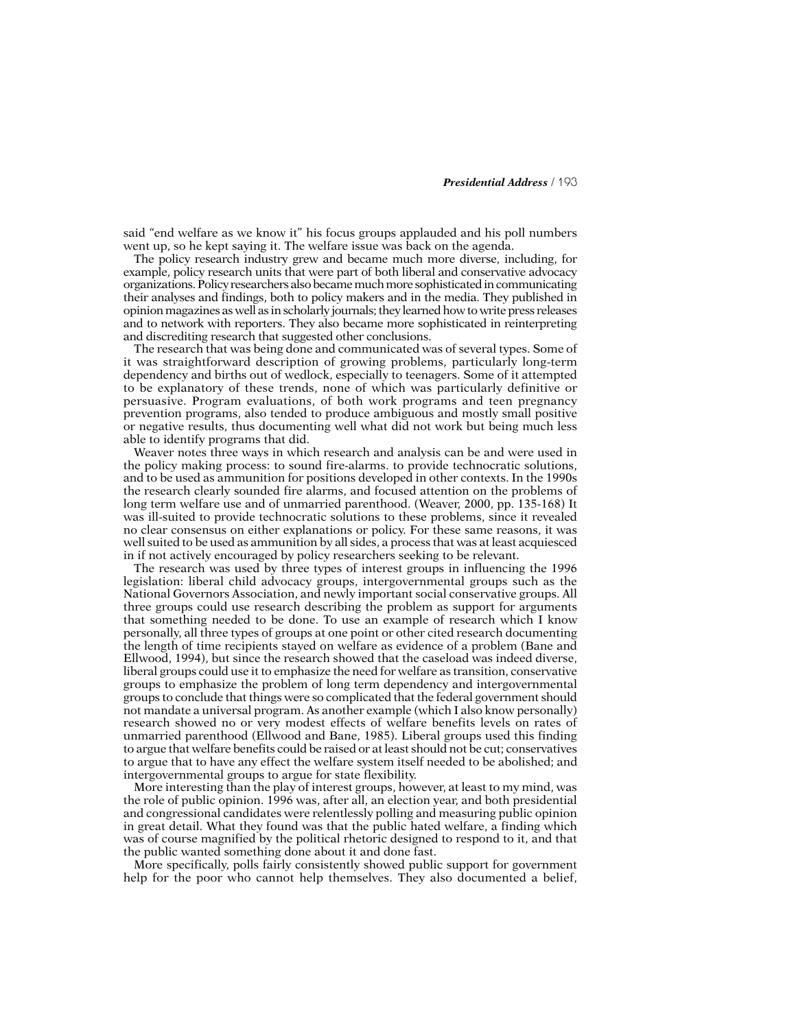said "end welfare as we know it" his focus groups applauded and his poll numbers went up, so he kept saying it. The welfare issue was back on the agenda.

The policy research industry grew and became much more diverse, including, for example, policy research units that were part of both liberal and conservative advocacy organizations. Policy researchers also became much more sophisticated in communicating their analyses and findings, both to policy makers and in the media. They published in opinion magazines as well as in scholarly journals; they learned how to write press releases and to network with reporters. They also became more sophisticated in reinterpreting and discrediting research that suggested other conclusions.

The research that was being done and communicated was of several types. Some of it was straightforward description of growing problems, particularly long-term dependency and births out of wedlock, especially to teenagers. Some of it attempted to be explanatory of these trends, none of which was particularly definitive or persuasive. Program evaluations, of both work programs and teen pregnancy prevention programs, also tended to produce ambiguous and mostly small positive or negative results, thus documenting well what did not work but being much less able to identify programs that did.

Weaver notes three ways in which research and analysis can be and were used in the policy making process: to sound fire-alarms. to provide technocratic solutions, and to be used as ammunition for positions developed in other contexts. In the 1990s the research clearly sounded fire alarms, and focused attention on the problems of long term welfare use and of unmarried parenthood. (Weaver, 2000, pp. 135-168) It was ill-suited to provide technocratic solutions to these problems, since it revealed no clear consensus on either explanations or policy. For these same reasons, it was well suited to be used as ammunition by all sides, a process that was at least acquiesced in if not actively encouraged by policy researchers seeking to be relevant.

The research was used by three types of interest groups in influencing the 1996 legislation: liberal child advocacy groups, intergovernmental groups such as the National Governors Association, and newly important social conservative groups. All three groups could use research describing the problem as support for arguments that something needed to be done. To use an example of research which I know personally, all three types of groups at one point or other cited research documenting the length of time recipients stayed on welfare as evidence of a problem (Bane and Ellwood, 1994), but since the research showed that the caseload was indeed diverse, liberal groups could use it to emphasize the need for welfare as transition, conservative groups to emphasize the problem of long term dependency and intergovernmental groups to conclude that things were so complicated that the federal government should not mandate a universal program. As another example (which I also know personally) research showed no or very modest effects of welfare benefits levels on rates of unmarried parenthood (Ellwood and Bane, 1985). Liberal groups used this finding to argue that welfare benefits could be raised or at least should not be cut; conservatives to argue that to have any effect the welfare system itself needed to be abolished; and intergovernmental groups to argue for state flexibility.

More interesting than the play of interest groups, however, at least to my mind, was the role of public opinion. 1996 was, after all, an election year, and both presidential and congressional candidates were relentlessly polling and measuring public opinion in great detail. What they found was that the public hated welfare, a finding which was of course magnified by the political rhetoric designed to respond to it, and that the public wanted something done about it and done fast.

More specifically, polls fairly consistently showed public support for government help for the poor who cannot help themselves. They also documented a belief,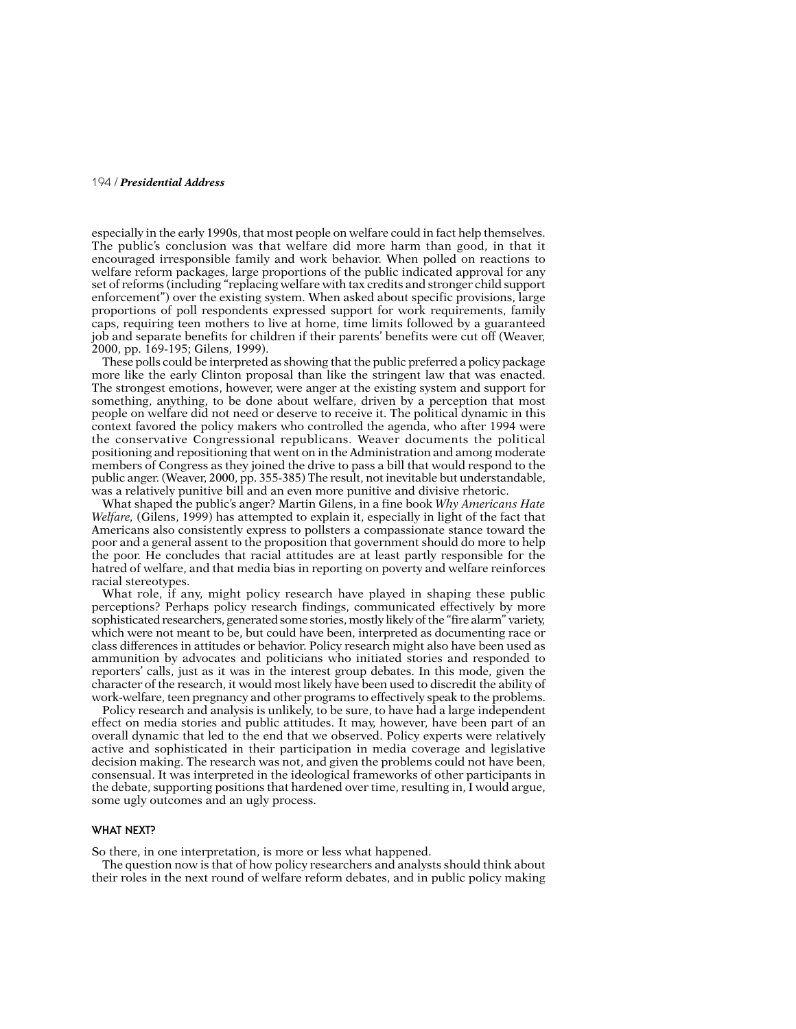#### 194 / *Presidential Address*

especially in the early 1990s, that most people on welfare could in fact help themselves. The public's conclusion was that welfare did more harm than good, in that it encouraged irresponsible family and work behavior. When polled on reactions to welfare reform packages, large proportions of the public indicated approval for any set of reforms (including "replacing welfare with tax credits and stronger child support enforcement") over the existing system. When asked about specific provisions, large proportions of poll respondents expressed support for work requirements, family caps, requiring teen mothers to live at home, time limits followed by a guaranteed job and separate benefits for children if their parents' benefits were cut off (Weaver, 2000, pp. 169-195; Gilens, 1999).

These polls could be interpreted as showing that the public preferred a policy package more like the early Clinton proposal than like the stringent law that was enacted. The strongest emotions, however, were anger at the existing system and support for something, anything, to be done about welfare, driven by a perception that most people on welfare did not need or deserve to receive it. The political dynamic in this context favored the policy makers who controlled the agenda, who after 1994 were the conservative Congressional republicans. Weaver documents the political positioning and repositioning that went on in the Administration and among moderate members of Congress as they joined the drive to pass a bill that would respond to the public anger. (Weaver, 2000, pp. 355-385) The result, not inevitable but understandable, was a relatively punitive bill and an even more punitive and divisive rhetoric.

What shaped the public's anger? Martin Gilens, in a fine book *Why Americans Hate Welfare,* (Gilens, 1999) has attempted to explain it, especially in light of the fact that Americans also consistently express to pollsters a compassionate stance toward the poor and a general assent to the proposition that government should do more to help the poor. He concludes that racial attitudes are at least partly responsible for the hatred of welfare, and that media bias in reporting on poverty and welfare reinforces racial stereotypes.

What role, if any, might policy research have played in shaping these public perceptions? Perhaps policy research findings, communicated effectively by more sophisticated researchers, generated some stories, mostly likely of the "fire alarm" variety, which were not meant to be, but could have been, interpreted as documenting race or class differences in attitudes or behavior. Policy research might also have been used as ammunition by advocates and politicians who initiated stories and responded to reporters' calls, just as it was in the interest group debates. In this mode, given the character of the research, it would most likely have been used to discredit the ability of work-welfare, teen pregnancy and other programs to effectively speak to the problems.

Policy research and analysis is unlikely, to be sure, to have had a large independent effect on media stories and public attitudes. It may, however, have been part of an overall dynamic that led to the end that we observed. Policy experts were relatively active and sophisticated in their participation in media coverage and legislative decision making. The research was not, and given the problems could not have been, consensual. It was interpreted in the ideological frameworks of other participants in the debate, supporting positions that hardened over time, resulting in, I would argue, some ugly outcomes and an ugly process.

## **WHAT NEXT?**

So there, in one interpretation, is more or less what happened.

The question now is that of how policy researchers and analysts should think about their roles in the next round of welfare reform debates, and in public policy making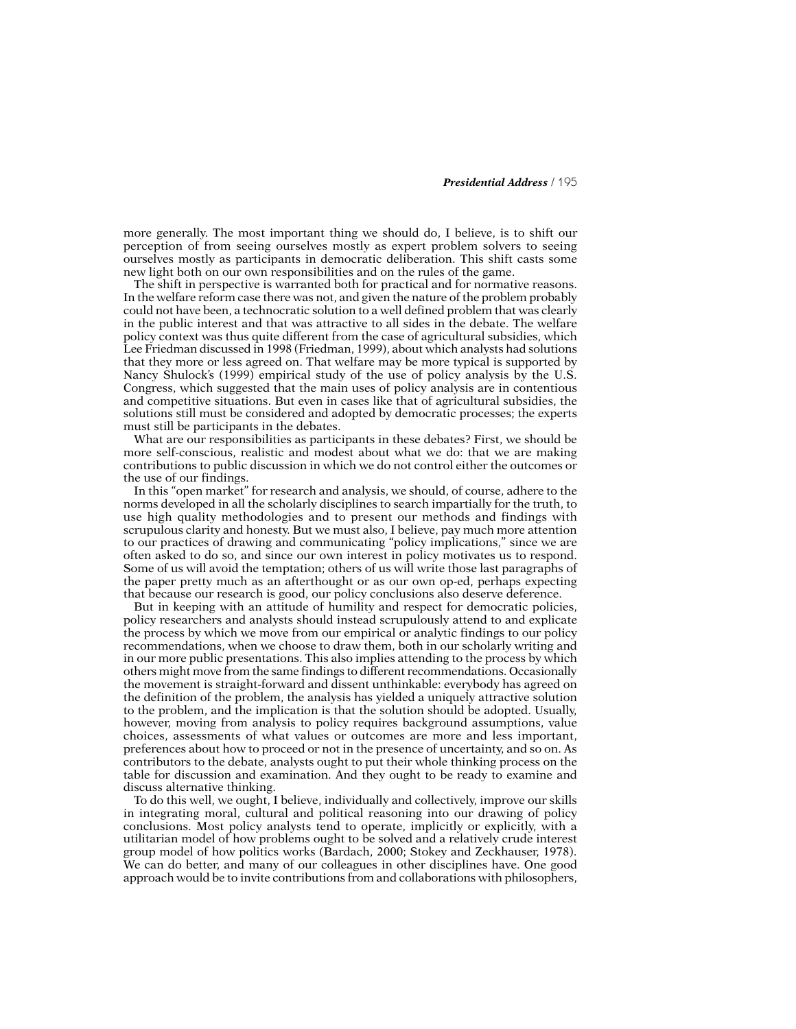more generally. The most important thing we should do, I believe, is to shift our perception of from seeing ourselves mostly as expert problem solvers to seeing ourselves mostly as participants in democratic deliberation. This shift casts some new light both on our own responsibilities and on the rules of the game.

The shift in perspective is warranted both for practical and for normative reasons. In the welfare reform case there was not, and given the nature of the problem probably could not have been, a technocratic solution to a well defined problem that was clearly in the public interest and that was attractive to all sides in the debate. The welfare policy context was thus quite different from the case of agricultural subsidies, which Lee Friedman discussed in 1998 (Friedman, 1999), about which analysts had solutions that they more or less agreed on. That welfare may be more typical is supported by Nancy Shulock's (1999) empirical study of the use of policy analysis by the U.S. Congress, which suggested that the main uses of policy analysis are in contentious and competitive situations. But even in cases like that of agricultural subsidies, the solutions still must be considered and adopted by democratic processes; the experts must still be participants in the debates.

What are our responsibilities as participants in these debates? First, we should be more self-conscious, realistic and modest about what we do: that we are making contributions to public discussion in which we do not control either the outcomes or the use of our findings.

In this "open market" for research and analysis, we should, of course, adhere to the norms developed in all the scholarly disciplines to search impartially for the truth, to use high quality methodologies and to present our methods and findings with scrupulous clarity and honesty. But we must also, I believe, pay much more attention to our practices of drawing and communicating "policy implications," since we are often asked to do so, and since our own interest in policy motivates us to respond. Some of us will avoid the temptation; others of us will write those last paragraphs of the paper pretty much as an afterthought or as our own op-ed, perhaps expecting that because our research is good, our policy conclusions also deserve deference.

But in keeping with an attitude of humility and respect for democratic policies, policy researchers and analysts should instead scrupulously attend to and explicate the process by which we move from our empirical or analytic findings to our policy recommendations, when we choose to draw them, both in our scholarly writing and in our more public presentations. This also implies attending to the process by which others might move from the same findings to different recommendations. Occasionally the movement is straight-forward and dissent unthinkable: everybody has agreed on the definition of the problem, the analysis has yielded a uniquely attractive solution to the problem, and the implication is that the solution should be adopted. Usually, however, moving from analysis to policy requires background assumptions, value choices, assessments of what values or outcomes are more and less important, preferences about how to proceed or not in the presence of uncertainty, and so on. As contributors to the debate, analysts ought to put their whole thinking process on the table for discussion and examination. And they ought to be ready to examine and discuss alternative thinking.

To do this well, we ought, I believe, individually and collectively, improve our skills in integrating moral, cultural and political reasoning into our drawing of policy conclusions. Most policy analysts tend to operate, implicitly or explicitly, with a utilitarian model of how problems ought to be solved and a relatively crude interest group model of how politics works (Bardach, 2000; Stokey and Zeckhauser, 1978). We can do better, and many of our colleagues in other disciplines have. One good approach would be to invite contributions from and collaborations with philosophers,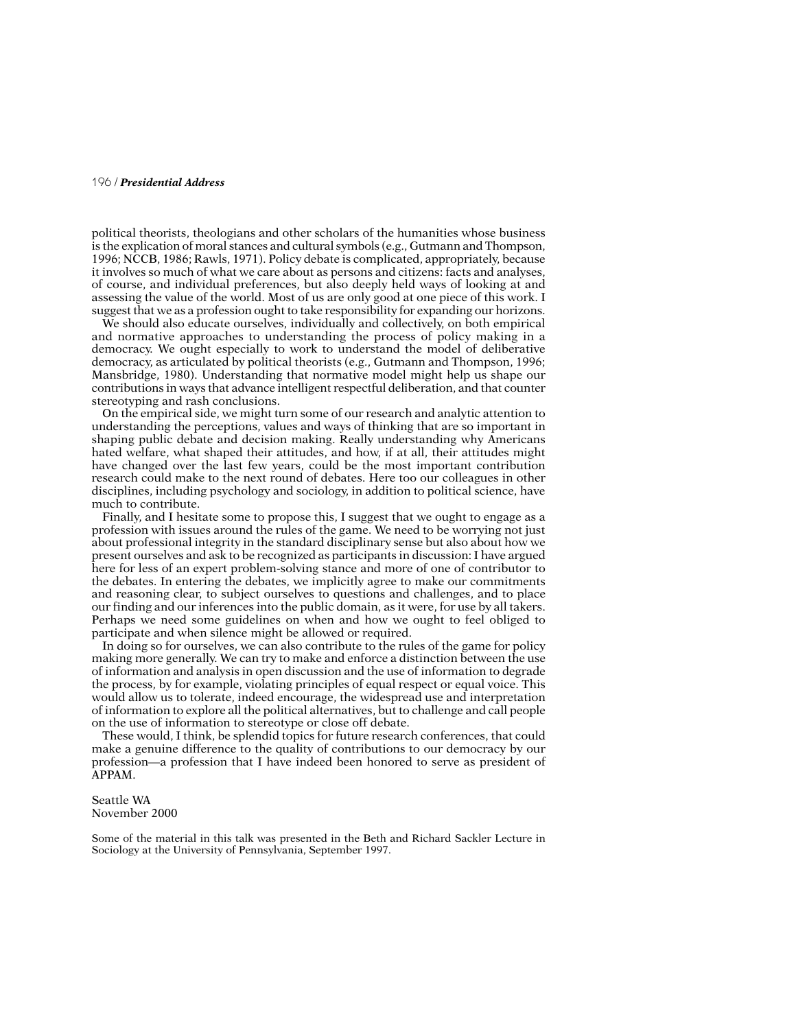## 196 / *Presidential Address*

political theorists, theologians and other scholars of the humanities whose business is the explication of moral stances and cultural symbols (e.g., Gutmann and Thompson, 1996; NCCB, 1986; Rawls, 1971). Policy debate is complicated, appropriately, because it involves so much of what we care about as persons and citizens: facts and analyses, of course, and individual preferences, but also deeply held ways of looking at and assessing the value of the world. Most of us are only good at one piece of this work. I suggest that we as a profession ought to take responsibility for expanding our horizons.

We should also educate ourselves, individually and collectively, on both empirical and normative approaches to understanding the process of policy making in a democracy. We ought especially to work to understand the model of deliberative democracy, as articulated by political theorists (e.g., Gutmann and Thompson, 1996; Mansbridge, 1980). Understanding that normative model might help us shape our contributions in ways that advance intelligent respectful deliberation, and that counter stereotyping and rash conclusions.

On the empirical side, we might turn some of our research and analytic attention to understanding the perceptions, values and ways of thinking that are so important in shaping public debate and decision making. Really understanding why Americans hated welfare, what shaped their attitudes, and how, if at all, their attitudes might have changed over the last few years, could be the most important contribution research could make to the next round of debates. Here too our colleagues in other disciplines, including psychology and sociology, in addition to political science, have much to contribute.

Finally, and I hesitate some to propose this, I suggest that we ought to engage as a profession with issues around the rules of the game. We need to be worrying not just about professional integrity in the standard disciplinary sense but also about how we present ourselves and ask to be recognized as participants in discussion: I have argued here for less of an expert problem-solving stance and more of one of contributor to the debates. In entering the debates, we implicitly agree to make our commitments and reasoning clear, to subject ourselves to questions and challenges, and to place our finding and our inferences into the public domain, as it were, for use by all takers. Perhaps we need some guidelines on when and how we ought to feel obliged to participate and when silence might be allowed or required.

In doing so for ourselves, we can also contribute to the rules of the game for policy making more generally. We can try to make and enforce a distinction between the use of information and analysis in open discussion and the use of information to degrade the process, by for example, violating principles of equal respect or equal voice. This would allow us to tolerate, indeed encourage, the widespread use and interpretation of information to explore all the political alternatives, but to challenge and call people on the use of information to stereotype or close off debate.

These would, I think, be splendid topics for future research conferences, that could make a genuine difference to the quality of contributions to our democracy by our profession—a profession that I have indeed been honored to serve as president of APPAM.

# Seattle WA November 2000

Some of the material in this talk was presented in the Beth and Richard Sackler Lecture in Sociology at the University of Pennsylvania, September 1997.